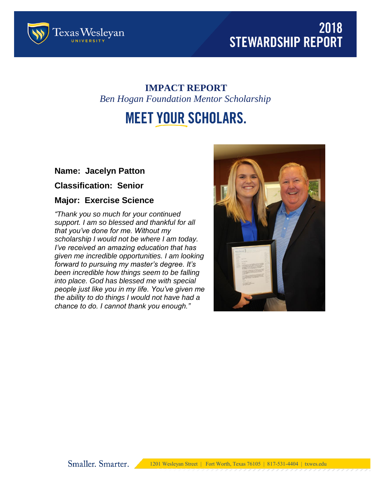



### **IMPACT REPORT** *Ben Hogan Foundation Mentor Scholarship*

# **MEET YOUR SCHOLARS.**

#### **Name: Jacelyn Patton**

**Classification: Senior**

#### **Major: Exercise Science**

*"Thank you so much for your continued support. I am so blessed and thankful for all that you've done for me. Without my scholarship I would not be where I am today. I've received an amazing education that has given me incredible opportunities. I am looking forward to pursuing my master's degree. It's been incredible how things seem to be falling into place. God has blessed me with special people just like you in my life. You've given me the ability to do things I would not have had a chance to do. I cannot thank you enough."*

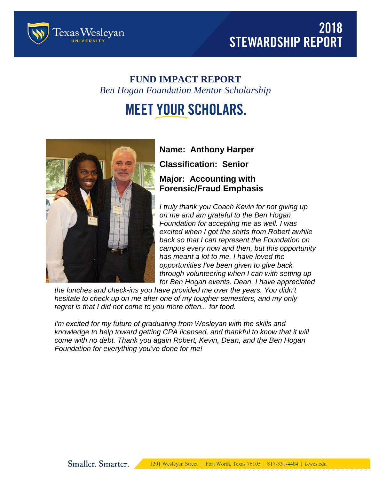



### **FUND IMPACT REPORT** *Ben Hogan Foundation Mentor Scholarship*

# **MEET YOUR SCHOLARS.**



# **Name: Anthony Harper Classification: Senior**

### **Major: Accounting with Forensic/Fraud Emphasis**

*I truly thank you Coach Kevin for not giving up on me and am grateful to the Ben Hogan Foundation for accepting me as well. I was excited when I got the shirts from Robert awhile back so that I can represent the Foundation on campus every now and then, but this opportunity has meant a lot to me. I have loved the opportunities I've been given to give back through volunteering when I can with setting up for Ben Hogan events. Dean, I have appreciated* 

*the lunches and check-ins you have provided me over the years. You didn't hesitate to check up on me after one of my tougher semesters, and my only regret is that I did not come to you more often... for food.*

*I'm excited for my future of graduating from Wesleyan with the skills and knowledge to help toward getting CPA licensed, and thankful to know that it will come with no debt. Thank you again Robert, Kevin, Dean, and the Ben Hogan Foundation for everything you've done for me!*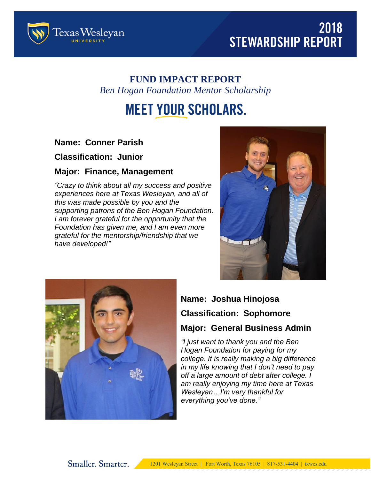



### **FUND IMPACT REPORT** *Ben Hogan Foundation Mentor Scholarship*

# **MEET YOUR SCHOLARS.**

#### **Name: Conner Parish**

**Classification: Junior**

#### **Major: Finance, Management**

*"Crazy to think about all my success and positive experiences here at Texas Wesleyan, and all of this was made possible by you and the supporting patrons of the Ben Hogan Foundation. I am forever grateful for the opportunity that the Foundation has given me, and I am even more grateful for the mentorship/friendship that we have developed!"*





## **Name: Joshua Hinojosa**

#### **Classification: Sophomore**

#### **Major: General Business Admin**

*"I just want to thank you and the Ben Hogan Foundation for paying for my college. It is really making a big difference in my life knowing that I don't need to pay off a large amount of debt after college. I am really enjoying my time here at Texas Wesleyan…I'm very thankful for everything you've done."*